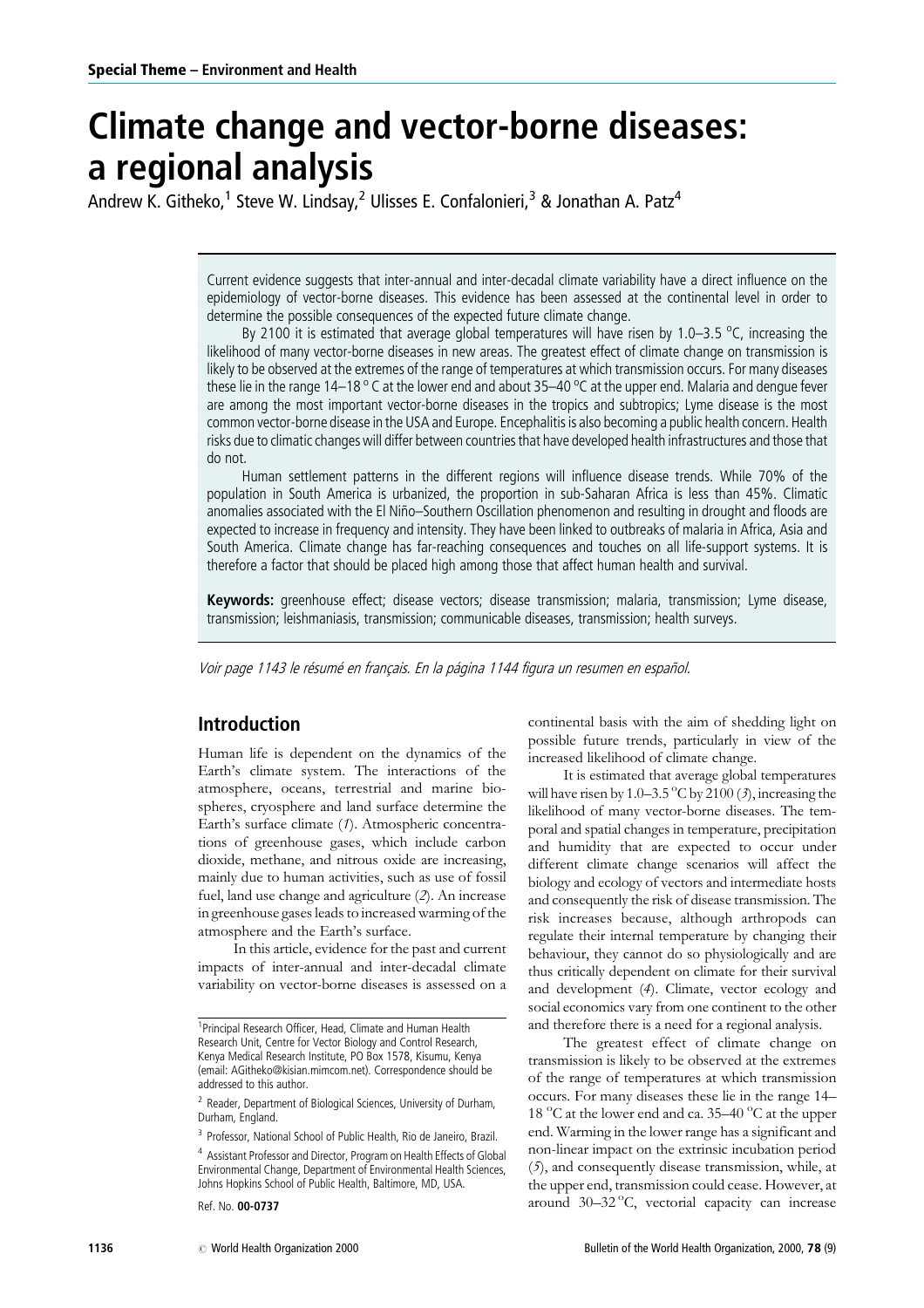# Climate change and vector-borne diseases: a regional analysis

Andrew K. Githeko,<sup>1</sup> Steve W. Lindsay,<sup>2</sup> Ulisses E. Confalonieri,<sup>3</sup> & Jonathan A. Patz<sup>4</sup>

Current evidence suggests that inter-annual and inter-decadal climate variability have a direct influence on the epidemiology of vector-borne diseases. This evidence has been assessed at the continental level in order to determine the possible consequences of the expected future climate change.

By 2100 it is estimated that average global temperatures will have risen by 1.0-3.5 °C, increasing the likelihood of many vector-borne diseases in new areas. The greatest effect of climate change on transmission is likely to be observed at the extremes of the range of temperatures at which transmission occurs. For many diseases these lie in the range 14–18 ° C at the lower end and about 35–40 °C at the upper end. Malaria and dengue fever are among the most important vector-borne diseases in the tropics and subtropics; Lyme disease is the most common vector-borne disease in the USA and Europe. Encephalitis is also becoming a public health concern. Health risks due to climatic changes will differ between countries that have developed health infrastructures and those that do not.

Human settlement patterns in the different regions will influence disease trends. While 70% of the population in South America is urbanized, the proportion in sub-Saharan Africa is less than 45%. Climatic anomalies associated with the El Niño-Southern Oscillation phenomenon and resulting in drought and floods are expected to increase in frequency and intensity. They have been linked to outbreaks of malaria in Africa, Asia and South America. Climate change has far-reaching consequences and touches on all life-support systems. It is therefore a factor that should be placed high among those that affect human health and survival.

Keywords: greenhouse effect; disease vectors; disease transmission; malaria, transmission; Lyme disease, transmission; leishmaniasis, transmission; communicable diseases, transmission; health surveys.

Voir page 1143 le résumé en français. En la página 1144 figura un resumen en español.

## Introduction

Human life is dependent on the dynamics of the Earth's climate system. The interactions of the atmosphere, oceans, terrestrial and marine biospheres, cryosphere and land surface determine the Earth's surface climate (1). Atmospheric concentrations of greenhouse gases, which include carbon dioxide, methane, and nitrous oxide are increasing, mainly due to human activities, such as use of fossil fuel, land use change and agriculture (2). An increase in greenhouse gases leads to increased warming of the atmosphere and the Earth's surface.

In this article, evidence for the past and current impacts of inter-annual and inter-decadal climate variability on vector-borne diseases is assessed on a continental basis with the aim of shedding light on possible future trends, particularly in view of the increased likelihood of climate change.

It is estimated that average global temperatures will have risen by 1.0–3.5 °C by  $\frac{2100}{3}$ , increasing the likelihood of many vector-borne diseases. The temporal and spatial changes in temperature, precipitation and humidity that are expected to occur under different climate change scenarios will affect the biology and ecology of vectors and intermediate hosts and consequently the risk of disease transmission. The risk increases because, although arthropods can regulate their internal temperature by changing their behaviour, they cannot do so physiologically and are thus critically dependent on climate for their survival and development (4). Climate, vector ecology and social economics vary from one continent to the other and therefore there is a need for a regional analysis.

The greatest effect of climate change on transmission is likely to be observed at the extremes of the range of temperatures at which transmission occurs. For many diseases these lie in the range 14– 18 °C at the lower end and ca. 35-40 °C at the upper end. Warming in the lower range has a significant and non-linear impact on the extrinsic incubation period (5), and consequently disease transmission, while, at the upper end, transmission could cease. However, at around 30-32 °C, vectorial capacity can increase

<sup>&</sup>lt;sup>1</sup> Principal Research Officer, Head, Climate and Human Health Research Unit, Centre for Vector Biology and Control Research, Kenya Medical Research Institute, PO Box 1578, Kisumu, Kenya (email: AGitheko@kisian.mimcom.net). Correspondence should be addressed to this author.

<sup>&</sup>lt;sup>2</sup> Reader, Department of Biological Sciences, University of Durham, Durham, England.

<sup>&</sup>lt;sup>3</sup> Professor, National School of Public Health, Rio de Janeiro, Brazil.

<sup>&</sup>lt;sup>4</sup> Assistant Professor and Director, Program on Health Effects of Global Environmental Change, Department of Environmental Health Sciences, Johns Hopkins School of Public Health, Baltimore, MD, USA.

Ref. No. 00-0737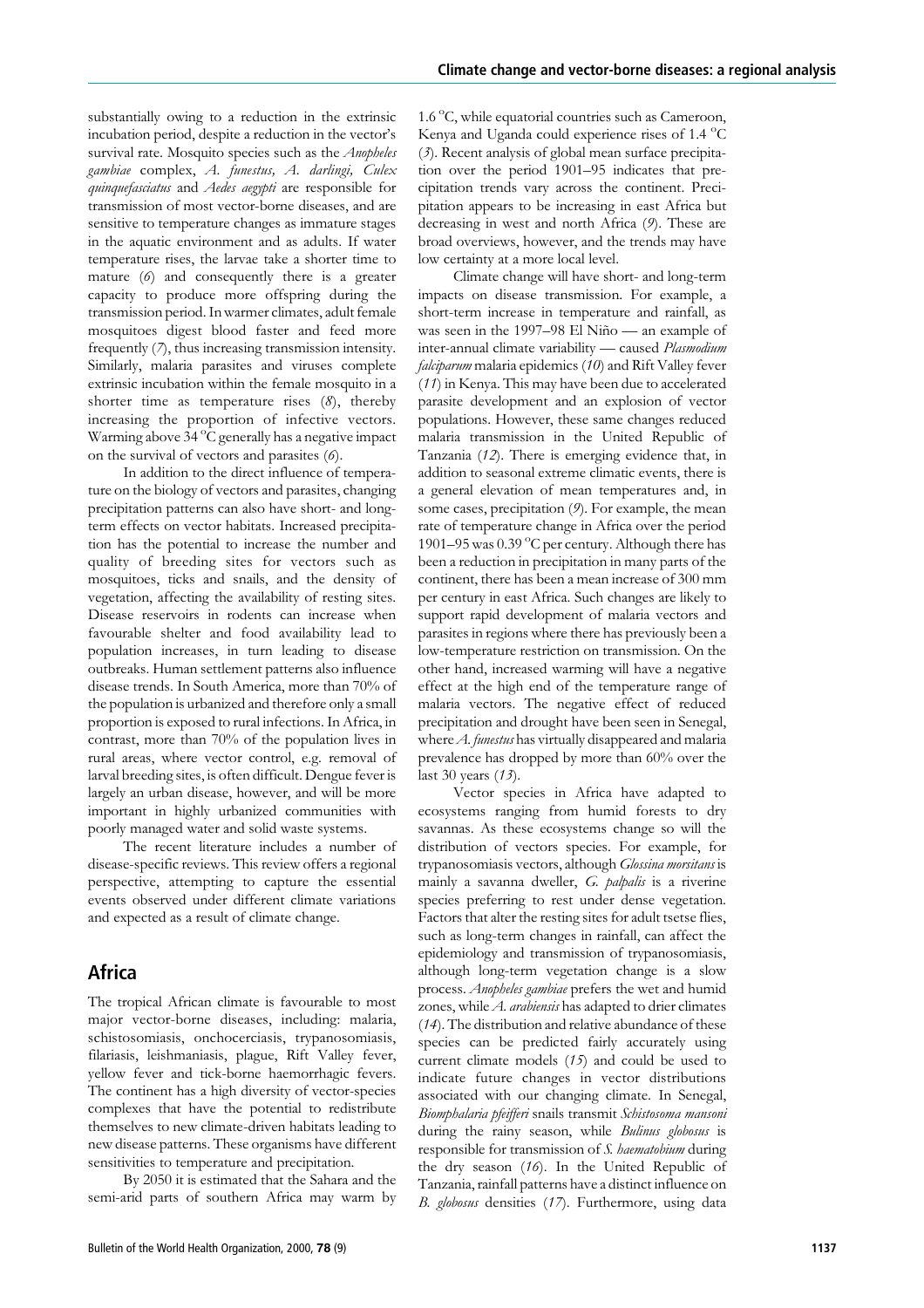substantially owing to a reduction in the extrinsic incubation period, despite a reduction in the vector's survival rate. Mosquito species such as the Anopheles gambiae complex, A. funestus, A. darlingi, Culex quinquefasciatus and Aedes aegypti are responsible for transmission of most vector-borne diseases, and are sensitive to temperature changes as immature stages in the aquatic environment and as adults. If water temperature rises, the larvae take a shorter time to mature (6) and consequently there is a greater capacity to produce more offspring during the transmission period. In warmer climates, adult female mosquitoes digest blood faster and feed more frequently (7), thus increasing transmission intensity. Similarly, malaria parasites and viruses complete extrinsic incubation within the female mosquito in a shorter time as temperature rises  $(8)$ , thereby increasing the proportion of infective vectors. Warming above  $34\,^{\rm o}\textrm{C}$  generally has a negative impact on the survival of vectors and parasites (6).

In addition to the direct influence of temperature on the biology of vectors and parasites, changing precipitation patterns can also have short- and longterm effects on vector habitats. Increased precipitation has the potential to increase the number and quality of breeding sites for vectors such as mosquitoes, ticks and snails, and the density of vegetation, affecting the availability of resting sites. Disease reservoirs in rodents can increase when favourable shelter and food availability lead to population increases, in turn leading to disease outbreaks. Human settlement patterns also influence disease trends. In South America, more than 70% of the population is urbanized and therefore only a small proportion is exposed to rural infections. In Africa, in contrast, more than 70% of the population lives in rural areas, where vector control, e.g. removal of larval breeding sites, is often difficult. Dengue fever is largely an urban disease, however, and will be more important in highly urbanized communities with poorly managed water and solid waste systems.

The recent literature includes a number of disease-specific reviews. This review offers a regional perspective, attempting to capture the essential events observed under different climate variations and expected as a result of climate change.

## Africa

The tropical African climate is favourable to most major vector-borne diseases, including: malaria, schistosomiasis, onchocerciasis, trypanosomiasis, filariasis, leishmaniasis, plague, Rift Valley fever, yellow fever and tick-borne haemorrhagic fevers. The continent has a high diversity of vector-species complexes that have the potential to redistribute themselves to new climate-driven habitats leading to new disease patterns. These organisms have different sensitivities to temperature and precipitation.

By 2050 it is estimated that the Sahara and the semi-arid parts of southern Africa may warm by

1.6 °C, while equatorial countries such as Cameroon, Kenya and Uganda could experience rises of 1.4 °C (3). Recent analysis of global mean surface precipitation over the period 1901–95 indicates that precipitation trends vary across the continent. Precipitation appears to be increasing in east Africa but decreasing in west and north Africa (9). These are broad overviews, however, and the trends may have low certainty at a more local level.

Climate change will have short- and long-term impacts on disease transmission. For example, a short-term increase in temperature and rainfall, as was seen in the 1997–98 El Niño — an example of inter-annual climate variability - caused Plasmodium falciparum malaria epidemics (10) and Rift Valley fever (11) in Kenya. This may have been due to accelerated parasite development and an explosion of vector populations. However, these same changes reduced malaria transmission in the United Republic of Tanzania (12). There is emerging evidence that, in addition to seasonal extreme climatic events, there is a general elevation of mean temperatures and, in some cases, precipitation (9). For example, the mean rate of temperature change in Africa over the period 1901–95 was 0.39 °C per century. Although there has been a reduction in precipitation in many parts of the continent, there has been a mean increase of 300 mm per century in east Africa. Such changes are likely to support rapid development of malaria vectors and parasites in regions where there has previously been a low-temperature restriction on transmission. On the other hand, increased warming will have a negative effect at the high end of the temperature range of malaria vectors. The negative effect of reduced precipitation and drought have been seen in Senegal, where A. funestus has virtually disappeared and malaria prevalence has dropped by more than 60% over the last  $30$  years  $(13)$ .

Vector species in Africa have adapted to ecosystems ranging from humid forests to dry savannas. As these ecosystems change so will the distribution of vectors species. For example, for trypanosomiasis vectors, although Glossina morsitans is mainly a savanna dweller, G. palpalis is a riverine species preferring to rest under dense vegetation. Factors that alter the resting sites for adult tsetse flies, such as long-term changes in rainfall, can affect the epidemiology and transmission of trypanosomiasis, although long-term vegetation change is a slow process. Anopheles gambiae prefers the wet and humid zones, while  $A$ . *arabiensis* has adapted to drier climates (14). The distribution and relative abundance of these species can be predicted fairly accurately using current climate models (15) and could be used to indicate future changes in vector distributions associated with our changing climate. In Senegal, Biomphalaria pfeifferi snails transmit Schistosoma mansoni during the rainy season, while *Bulinus globosus* is responsible for transmission of S. haematobium during the dry season (16). In the United Republic of Tanzania, rainfall patterns have a distinct influence on B. globosus densities (17). Furthermore, using data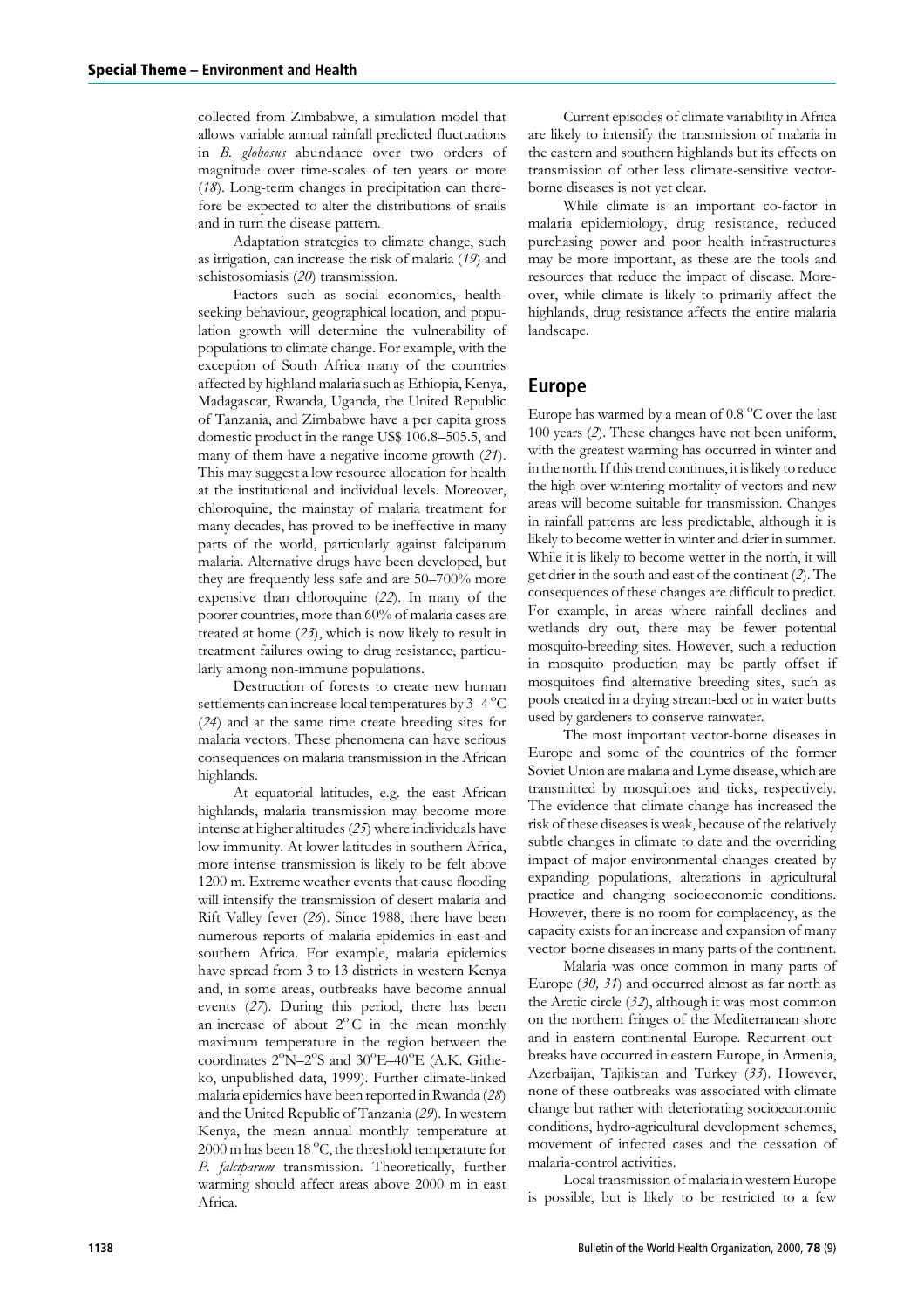collected from Zimbabwe, a simulation model that allows variable annual rainfall predicted fluctuations in B. globosus abundance over two orders of magnitude over time-scales of ten years or more (18). Long-term changes in precipitation can therefore be expected to alter the distributions of snails and in turn the disease pattern.

Adaptation strategies to climate change, such as irrigation, can increase the risk of malaria (19) and schistosomiasis (20) transmission.

Factors such as social economics, healthseeking behaviour, geographical location, and population growth will determine the vulnerability of populations to climate change. For example, with the exception of South Africa many of the countries affected by highland malaria such as Ethiopia, Kenya, Madagascar, Rwanda, Uganda, the United Republic of Tanzania, and Zimbabwe have a per capita gross domestic product in the range US\$ 106.8–505.5, and many of them have a negative income growth (21). This may suggest a low resource allocation for health at the institutional and individual levels. Moreover, chloroquine, the mainstay of malaria treatment for many decades, has proved to be ineffective in many parts of the world, particularly against falciparum malaria. Alternative drugs have been developed, but they are frequently less safe and are 50–700% more expensive than chloroquine (22). In many of the poorer countries, more than 60% of malaria cases are treated at home (23), which is now likely to result in treatment failures owing to drug resistance, particularly among non-immune populations.

Destruction of forests to create new human settlements can increase local temperatures by  $3\text{--}4\,^{\circ}\mathrm{C}$ (24) and at the same time create breeding sites for malaria vectors. These phenomena can have serious consequences on malaria transmission in the African highlands.

At equatorial latitudes, e.g. the east African highlands, malaria transmission may become more intense at higher altitudes (25) where individuals have low immunity. At lower latitudes in southern Africa, more intense transmission is likely to be felt above 1200 m. Extreme weather events that cause flooding will intensify the transmission of desert malaria and Rift Valley fever (26). Since 1988, there have been numerous reports of malaria epidemics in east and southern Africa. For example, malaria epidemics have spread from 3 to 13 districts in western Kenya and, in some areas, outbreaks have become annual events (27). During this period, there has been an increase of about  $2^{\circ}$ C in the mean monthly maximum temperature in the region between the coordinates  $2^{\circ}N - 2^{\circ}S$  and  $30^{\circ}E - 40^{\circ}E$  (A.K. Githeko, unpublished data, 1999). Further climate-linked malaria epidemics have been reported in Rwanda (28) and the United Republic of Tanzania (29). In western Kenya, the mean annual monthly temperature at 2000 m has been 18 °C, the threshold temperature for P. falciparum transmission. Theoretically, further warming should affect areas above 2000 m in east Africa.

Current episodes of climate variability in Africa are likely to intensify the transmission of malaria in the eastern and southern highlands but its effects on transmission of other less climate-sensitive vectorborne diseases is not yet clear.

While climate is an important co-factor in malaria epidemiology, drug resistance, reduced purchasing power and poor health infrastructures may be more important, as these are the tools and resources that reduce the impact of disease. Moreover, while climate is likely to primarily affect the highlands, drug resistance affects the entire malaria landscape.

### Europe

Europe has warmed by a mean of 0.8 °C over the last 100 years (2). These changes have not been uniform, with the greatest warming has occurred in winter and in the north. If this trend continues, it is likely to reduce the high over-wintering mortality of vectors and new areas will become suitable for transmission. Changes in rainfall patterns are less predictable, although it is likely to become wetter in winter and drier in summer. While it is likely to become wetter in the north, it will get drier in the south and east of the continent (2). The consequences of these changes are difficult to predict. For example, in areas where rainfall declines and wetlands dry out, there may be fewer potential mosquito-breeding sites. However, such a reduction in mosquito production may be partly offset if mosquitoes find alternative breeding sites, such as pools created in a drying stream-bed or in water butts used by gardeners to conserve rainwater.

The most important vector-borne diseases in Europe and some of the countries of the former Soviet Union are malaria and Lyme disease, which are transmitted by mosquitoes and ticks, respectively. The evidence that climate change has increased the risk of these diseases is weak, because of the relatively subtle changes in climate to date and the overriding impact of major environmental changes created by expanding populations, alterations in agricultural practice and changing socioeconomic conditions. However, there is no room for complacency, as the capacity exists for an increase and expansion of many vector-borne diseases in many parts of the continent.

Malaria was once common in many parts of Europe (30, 31) and occurred almost as far north as the Arctic circle (32), although it was most common on the northern fringes of the Mediterranean shore and in eastern continental Europe. Recurrent outbreaks have occurred in eastern Europe, in Armenia, Azerbaijan, Tajikistan and Turkey (33). However, none of these outbreaks was associated with climate change but rather with deteriorating socioeconomic conditions, hydro-agricultural development schemes, movement of infected cases and the cessation of malaria-control activities.

Local transmission of malaria in western Europe is possible, but is likely to be restricted to a few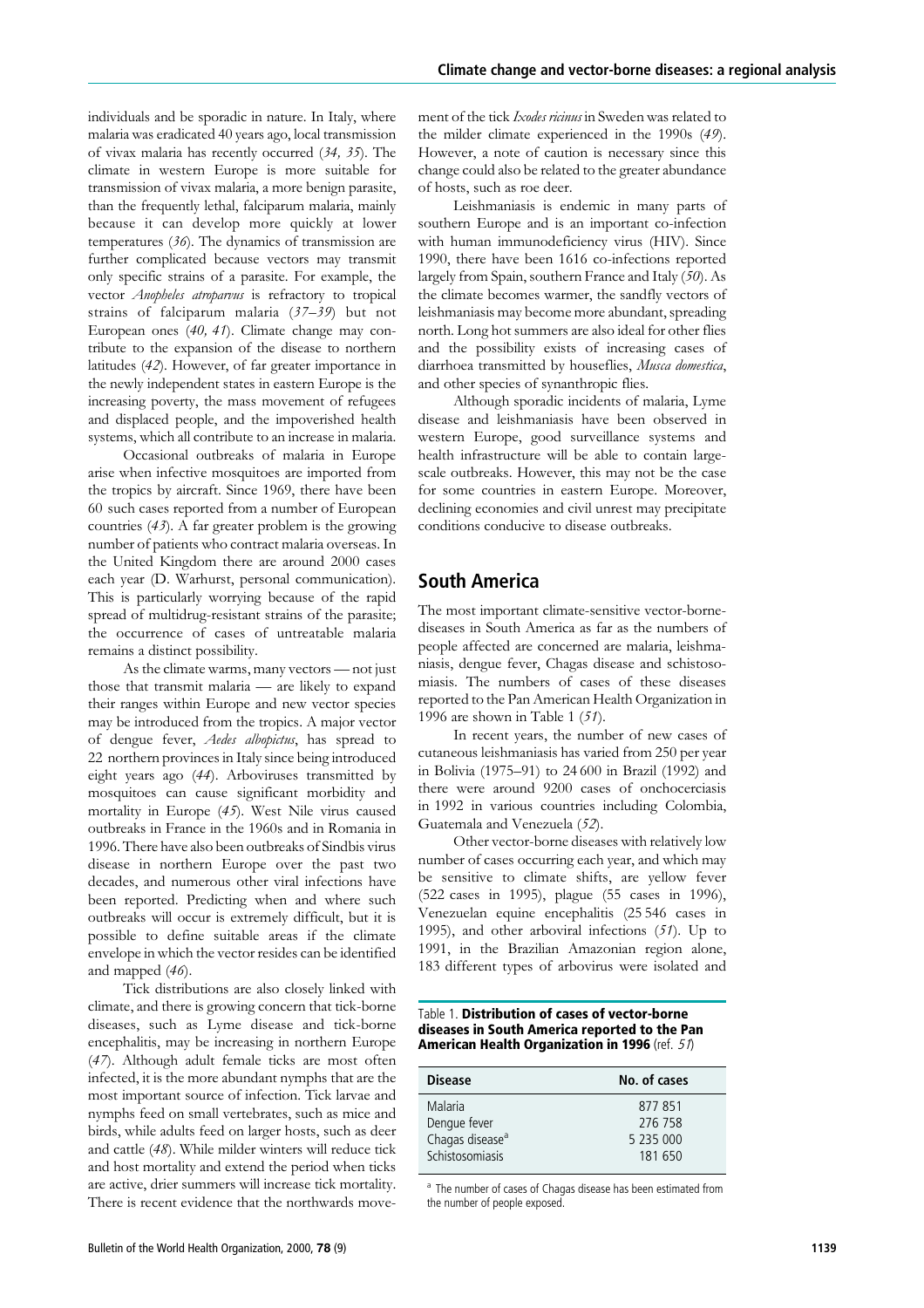individuals and be sporadic in nature. In Italy, where malaria was eradicated 40 years ago, local transmission of vivax malaria has recently occurred (34, 35). The climate in western Europe is more suitable for transmission of vivax malaria, a more benign parasite, than the frequently lethal, falciparum malaria, mainly because it can develop more quickly at lower temperatures (36). The dynamics of transmission are further complicated because vectors may transmit only specific strains of a parasite. For example, the vector Anopheles atroparvus is refractory to tropical strains of falciparum malaria (37–39) but not European ones (40, 41). Climate change may contribute to the expansion of the disease to northern latitudes (42). However, of far greater importance in the newly independent states in eastern Europe is the increasing poverty, the mass movement of refugees and displaced people, and the impoverished health systems, which all contribute to an increase in malaria.

Occasional outbreaks of malaria in Europe arise when infective mosquitoes are imported from the tropics by aircraft. Since 1969, there have been 60 such cases reported from a number of European countries  $(43)$ . A far greater problem is the growing number of patients who contract malaria overseas. In the United Kingdom there are around 2000 cases each year (D. Warhurst, personal communication). This is particularly worrying because of the rapid spread of multidrug-resistant strains of the parasite; the occurrence of cases of untreatable malaria remains a distinct possibility.

As the climate warms, many vectors — not just those that transmit malaria — are likely to expand their ranges within Europe and new vector species may be introduced from the tropics. A major vector of dengue fever, Aedes albopictus, has spread to 22 northern provinces in Italy since being introduced eight years ago (44). Arboviruses transmitted by mosquitoes can cause significant morbidity and mortality in Europe (45). West Nile virus caused outbreaks in France in the 1960s and in Romania in 1996. There have also been outbreaks of Sindbis virus disease in northern Europe over the past two decades, and numerous other viral infections have been reported. Predicting when and where such outbreaks will occur is extremely difficult, but it is possible to define suitable areas if the climate envelope in which the vector resides can be identified and mapped (46).

Tick distributions are also closely linked with climate, and there is growing concern that tick-borne diseases, such as Lyme disease and tick-borne encephalitis, may be increasing in northern Europe (47). Although adult female ticks are most often infected, it is the more abundant nymphs that are the most important source of infection. Tick larvae and nymphs feed on small vertebrates, such as mice and birds, while adults feed on larger hosts, such as deer and cattle (48). While milder winters will reduce tick and host mortality and extend the period when ticks are active, drier summers will increase tick mortality. There is recent evidence that the northwards movement of the tick *Ixodes ricinus* in Sweden was related to the milder climate experienced in the 1990s (49). However, a note of caution is necessary since this change could also be related to the greater abundance of hosts, such as roe deer.

Leishmaniasis is endemic in many parts of southern Europe and is an important co-infection with human immunodeficiency virus (HIV). Since 1990, there have been 1616 co-infections reported largely from Spain, southern France and Italy (50). As the climate becomes warmer, the sandfly vectors of leishmaniasis may become more abundant, spreading north. Long hot summers are also ideal for other flies and the possibility exists of increasing cases of diarrhoea transmitted by houseflies, Musca domestica, and other species of synanthropic flies.

Although sporadic incidents of malaria, Lyme disease and leishmaniasis have been observed in western Europe, good surveillance systems and health infrastructure will be able to contain largescale outbreaks. However, this may not be the case for some countries in eastern Europe. Moreover, declining economies and civil unrest may precipitate conditions conducive to disease outbreaks.

## South America

The most important climate-sensitive vector-bornediseases in South America as far as the numbers of people affected are concerned are malaria, leishmaniasis, dengue fever, Chagas disease and schistosomiasis. The numbers of cases of these diseases reported to the Pan American Health Organization in 1996 are shown in Table 1 (51).

In recent years, the number of new cases of cutaneous leishmaniasis has varied from 250 per year in Bolivia (1975–91) to 24 600 in Brazil (1992) and there were around 9200 cases of onchocerciasis in 1992 in various countries including Colombia, Guatemala and Venezuela (52).

Other vector-borne diseases with relatively low number of cases occurring each year, and which may be sensitive to climate shifts, are yellow fever (522 cases in 1995), plague (55 cases in 1996), Venezuelan equine encephalitis (25 546 cases in 1995), and other arboviral infections (51). Up to 1991, in the Brazilian Amazonian region alone, 183 different types of arbovirus were isolated and

Table 1. Distribution of cases of vector-borne diseases in South America reported to the Pan American Health Organization in 1996 (ref. 51)

| <b>Disease</b>              | No. of cases |
|-----------------------------|--------------|
| Malaria                     | 877851       |
| Dengue fever                | 276 758      |
| Chagas disease <sup>a</sup> | 5 235 000    |
| Schistosomiasis             | 181 650      |
|                             |              |

<sup>a</sup> The number of cases of Chagas disease has been estimated from the number of people exposed.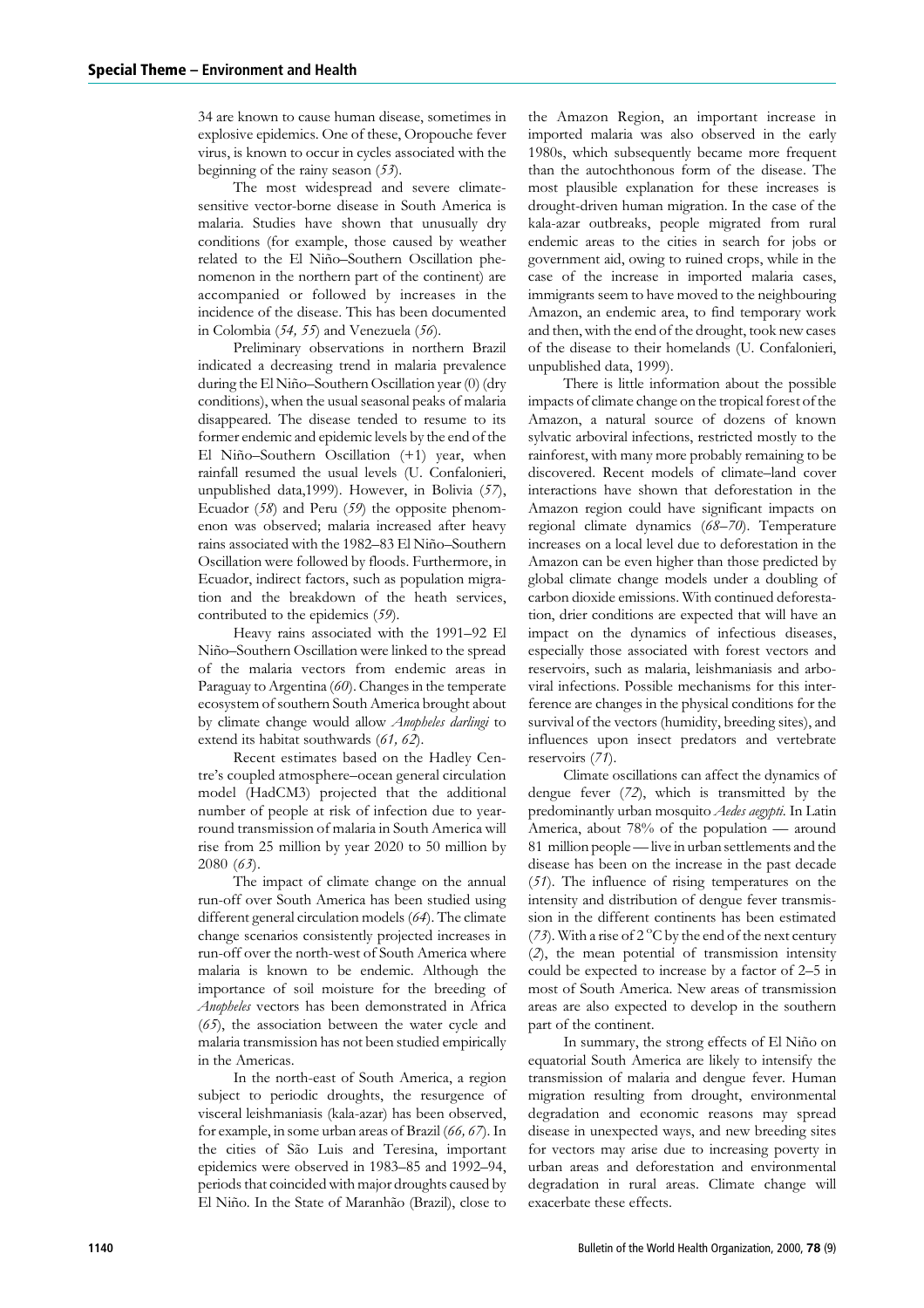34 are known to cause human disease, sometimes in explosive epidemics. One of these, Oropouche fever virus, is known to occur in cycles associated with the beginning of the rainy season (53).

The most widespread and severe climatesensitive vector-borne disease in South America is malaria. Studies have shown that unusually dry conditions (for example, those caused by weather related to the El Niño-Southern Oscillation phenomenon in the northern part of the continent) are accompanied or followed by increases in the incidence of the disease. This has been documented in Colombia (54, 55) and Venezuela (56).

Preliminary observations in northern Brazil indicated a decreasing trend in malaria prevalence during the El Niño-Southern Oscillation year (0) (dry conditions), when the usual seasonal peaks of malaria disappeared. The disease tended to resume to its former endemic and epidemic levels by the end of the El Niño-Southern Oscillation (+1) year, when rainfall resumed the usual levels (U. Confalonieri, unpublished data,1999). However, in Bolivia (57), Ecuador (58) and Peru (59) the opposite phenomenon was observed; malaria increased after heavy rains associated with the 1982–83 El Niño–Southern Oscillation were followed by floods. Furthermore, in Ecuador, indirect factors, such as population migration and the breakdown of the heath services, contributed to the epidemics (59).

Heavy rains associated with the 1991–92 El Niño–Southern Oscillation were linked to the spread of the malaria vectors from endemic areas in Paraguay to Argentina (60). Changes in the temperate ecosystem of southern South America brought about by climate change would allow Anopheles darlingi to extend its habitat southwards (61, 62).

Recent estimates based on the Hadley Centre's coupled atmosphere–ocean general circulation model (HadCM3) projected that the additional number of people at risk of infection due to yearround transmission of malaria in South America will rise from 25 million by year 2020 to 50 million by 2080 (63).

The impact of climate change on the annual run-off over South America has been studied using different general circulation models (64). The climate change scenarios consistently projected increases in run-off over the north-west of South America where malaria is known to be endemic. Although the importance of soil moisture for the breeding of Anopheles vectors has been demonstrated in Africa (65), the association between the water cycle and malaria transmission has not been studied empirically in the Americas.

In the north-east of South America, a region subject to periodic droughts, the resurgence of visceral leishmaniasis (kala-azar) has been observed, for example, in some urban areas of Brazil (66, 67). In the cities of São Luis and Teresina, important epidemics were observed in 1983–85 and 1992–94, periods that coincided with major droughts caused by El Niño. In the State of Maranhão (Brazil), close to

the Amazon Region, an important increase in imported malaria was also observed in the early 1980s, which subsequently became more frequent than the autochthonous form of the disease. The most plausible explanation for these increases is drought-driven human migration. In the case of the kala-azar outbreaks, people migrated from rural endemic areas to the cities in search for jobs or government aid, owing to ruined crops, while in the case of the increase in imported malaria cases, immigrants seem to have moved to the neighbouring Amazon, an endemic area, to find temporary work and then, with the end of the drought, took new cases of the disease to their homelands (U. Confalonieri, unpublished data, 1999).

There is little information about the possible impacts of climate change on the tropical forest of the Amazon, a natural source of dozens of known sylvatic arboviral infections, restricted mostly to the rainforest, with many more probably remaining to be discovered. Recent models of climate–land cover interactions have shown that deforestation in the Amazon region could have significant impacts on regional climate dynamics (68–70). Temperature increases on a local level due to deforestation in the Amazon can be even higher than those predicted by global climate change models under a doubling of carbon dioxide emissions. With continued deforestation, drier conditions are expected that will have an impact on the dynamics of infectious diseases, especially those associated with forest vectors and reservoirs, such as malaria, leishmaniasis and arboviral infections. Possible mechanisms for this interference are changes in the physical conditions for the survival of the vectors (humidity, breeding sites), and influences upon insect predators and vertebrate reservoirs (71).

Climate oscillations can affect the dynamics of dengue fever (72), which is transmitted by the predominantly urban mosquito Aedes aegypti. In Latin America, about 78% of the population — around 81 million people— live in urban settlements and the disease has been on the increase in the past decade (51). The influence of rising temperatures on the intensity and distribution of dengue fever transmission in the different continents has been estimated (73). With a rise of 2  $\mathrm{^{\circ}C}$  by the end of the next century (2), the mean potential of transmission intensity could be expected to increase by a factor of 2–5 in most of South America. New areas of transmission areas are also expected to develop in the southern part of the continent.

In summary, the strong effects of El Niño on equatorial South America are likely to intensify the transmission of malaria and dengue fever. Human migration resulting from drought, environmental degradation and economic reasons may spread disease in unexpected ways, and new breeding sites for vectors may arise due to increasing poverty in urban areas and deforestation and environmental degradation in rural areas. Climate change will exacerbate these effects.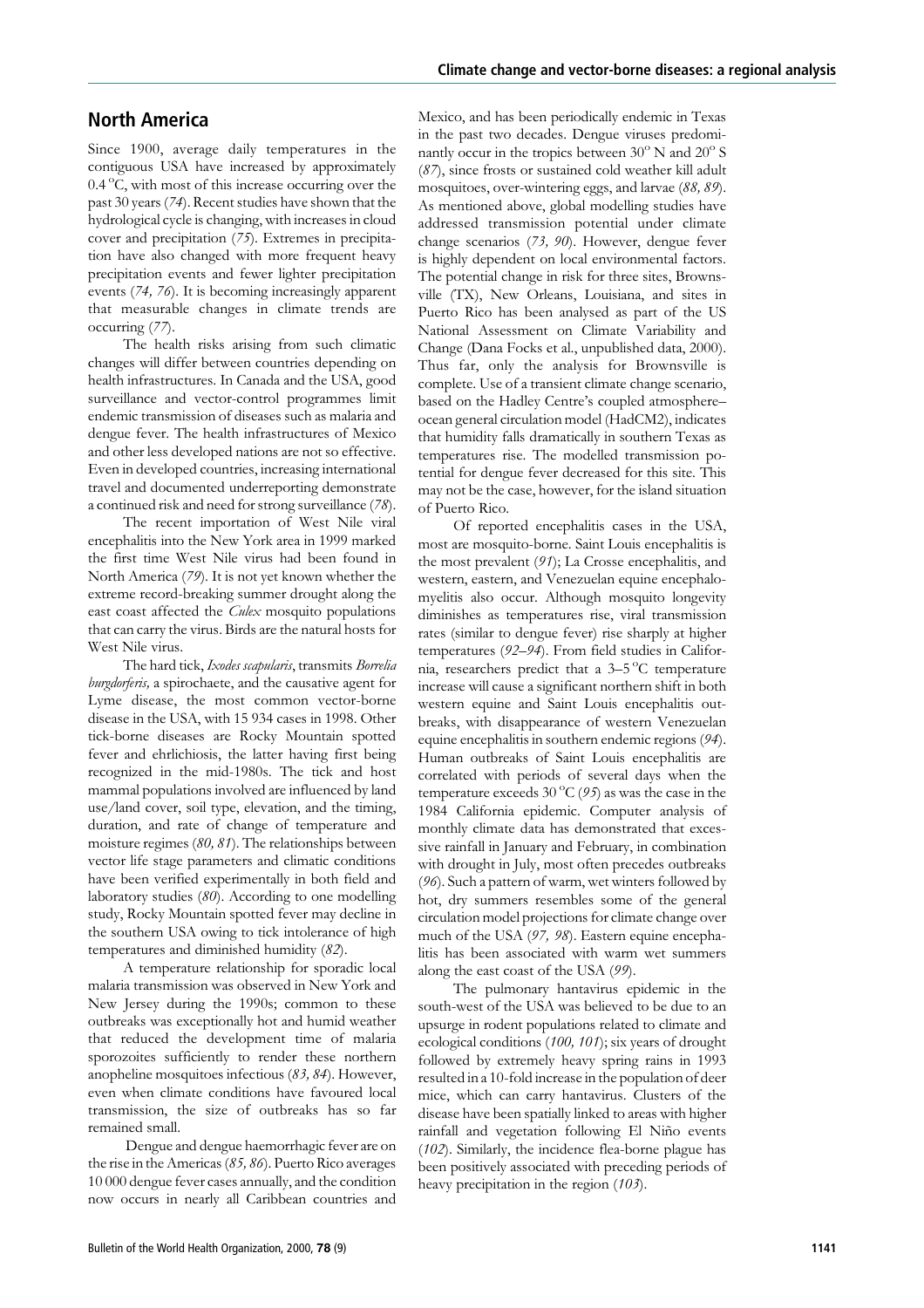## North America

Since 1900, average daily temperatures in the contiguous USA have increased by approximately 0.4 °C, with most of this increase occurring over the past 30 years (74). Recent studies have shown that the hydrological cycle is changing, with increases in cloud cover and precipitation (75). Extremes in precipitation have also changed with more frequent heavy precipitation events and fewer lighter precipitation events (74, 76). It is becoming increasingly apparent that measurable changes in climate trends are occurring (77).

The health risks arising from such climatic changes will differ between countries depending on health infrastructures. In Canada and the USA, good surveillance and vector-control programmes limit endemic transmission of diseases such as malaria and dengue fever. The health infrastructures of Mexico and other less developed nations are not so effective. Even in developed countries, increasing international travel and documented underreporting demonstrate a continued risk and need for strong surveillance (78).

The recent importation of West Nile viral encephalitis into the New York area in 1999 marked the first time West Nile virus had been found in North America (79). It is not yet known whether the extreme record-breaking summer drought along the east coast affected the Culex mosquito populations that can carry the virus. Birds are the natural hosts for West Nile virus.

The hard tick, Ixodes scapularis, transmits Borrelia burgdorferis, a spirochaete, and the causative agent for Lyme disease, the most common vector-borne disease in the USA, with 15 934 cases in 1998. Other tick-borne diseases are Rocky Mountain spotted fever and ehrlichiosis, the latter having first being recognized in the mid-1980s. The tick and host mammal populations involved are influenced by land use/land cover, soil type, elevation, and the timing, duration, and rate of change of temperature and moisture regimes (80, 81). The relationships between vector life stage parameters and climatic conditions have been verified experimentally in both field and laboratory studies (80). According to one modelling study, Rocky Mountain spotted fever may decline in the southern USA owing to tick intolerance of high temperatures and diminished humidity (82).

A temperature relationship for sporadic local malaria transmission was observed in New York and New Jersey during the 1990s; common to these outbreaks was exceptionally hot and humid weather that reduced the development time of malaria sporozoites sufficiently to render these northern anopheline mosquitoes infectious (83, 84). However, even when climate conditions have favoured local transmission, the size of outbreaks has so far remained small.

Dengue and dengue haemorrhagic fever are on the rise in the Americas (85, 86). Puerto Rico averages 10 000 dengue fever cases annually, and the condition now occurs in nearly all Caribbean countries and

Mexico, and has been periodically endemic in Texas in the past two decades. Dengue viruses predominantly occur in the tropics between  $30^{\circ}$  N and  $20^{\circ}$  S (87), since frosts or sustained cold weather kill adult mosquitoes, over-wintering eggs, and larvae (88, 89). As mentioned above, global modelling studies have addressed transmission potential under climate change scenarios (73, 90). However, dengue fever is highly dependent on local environmental factors. The potential change in risk for three sites, Brownsville (TX), New Orleans, Louisiana, and sites in Puerto Rico has been analysed as part of the US National Assessment on Climate Variability and Change (Dana Focks et al., unpublished data, 2000). Thus far, only the analysis for Brownsville is complete. Use of a transient climate change scenario, based on the Hadley Centre's coupled atmosphere– ocean general circulation model (HadCM2), indicates that humidity falls dramatically in southern Texas as temperatures rise. The modelled transmission potential for dengue fever decreased for this site. This may not be the case, however, for the island situation of Puerto Rico.

Of reported encephalitis cases in the USA, most are mosquito-borne. Saint Louis encephalitis is the most prevalent (91); La Crosse encephalitis, and western, eastern, and Venezuelan equine encephalomyelitis also occur. Although mosquito longevity diminishes as temperatures rise, viral transmission rates (similar to dengue fever) rise sharply at higher temperatures (92–94). From field studies in California, researchers predict that a 3-5°C temperature increase will cause a significant northern shift in both western equine and Saint Louis encephalitis outbreaks, with disappearance of western Venezuelan equine encephalitis in southern endemic regions (94). Human outbreaks of Saint Louis encephalitis are correlated with periods of several days when the temperature exceeds  $30^{\circ}$ C (95) as was the case in the 1984 California epidemic. Computer analysis of monthly climate data has demonstrated that excessive rainfall in January and February, in combination with drought in July, most often precedes outbreaks (96). Such a pattern of warm, wet winters followed by hot, dry summers resembles some of the general circulation model projections for climate change over much of the USA (97, 98). Eastern equine encephalitis has been associated with warm wet summers along the east coast of the USA (99).

The pulmonary hantavirus epidemic in the south-west of the USA was believed to be due to an upsurge in rodent populations related to climate and ecological conditions (100, 101); six years of drought followed by extremely heavy spring rains in 1993 resulted in a 10-fold increase in the population of deer mice, which can carry hantavirus. Clusters of the disease have been spatially linked to areas with higher rainfall and vegetation following El Niño events (102). Similarly, the incidence flea-borne plague has been positively associated with preceding periods of heavy precipitation in the region (103).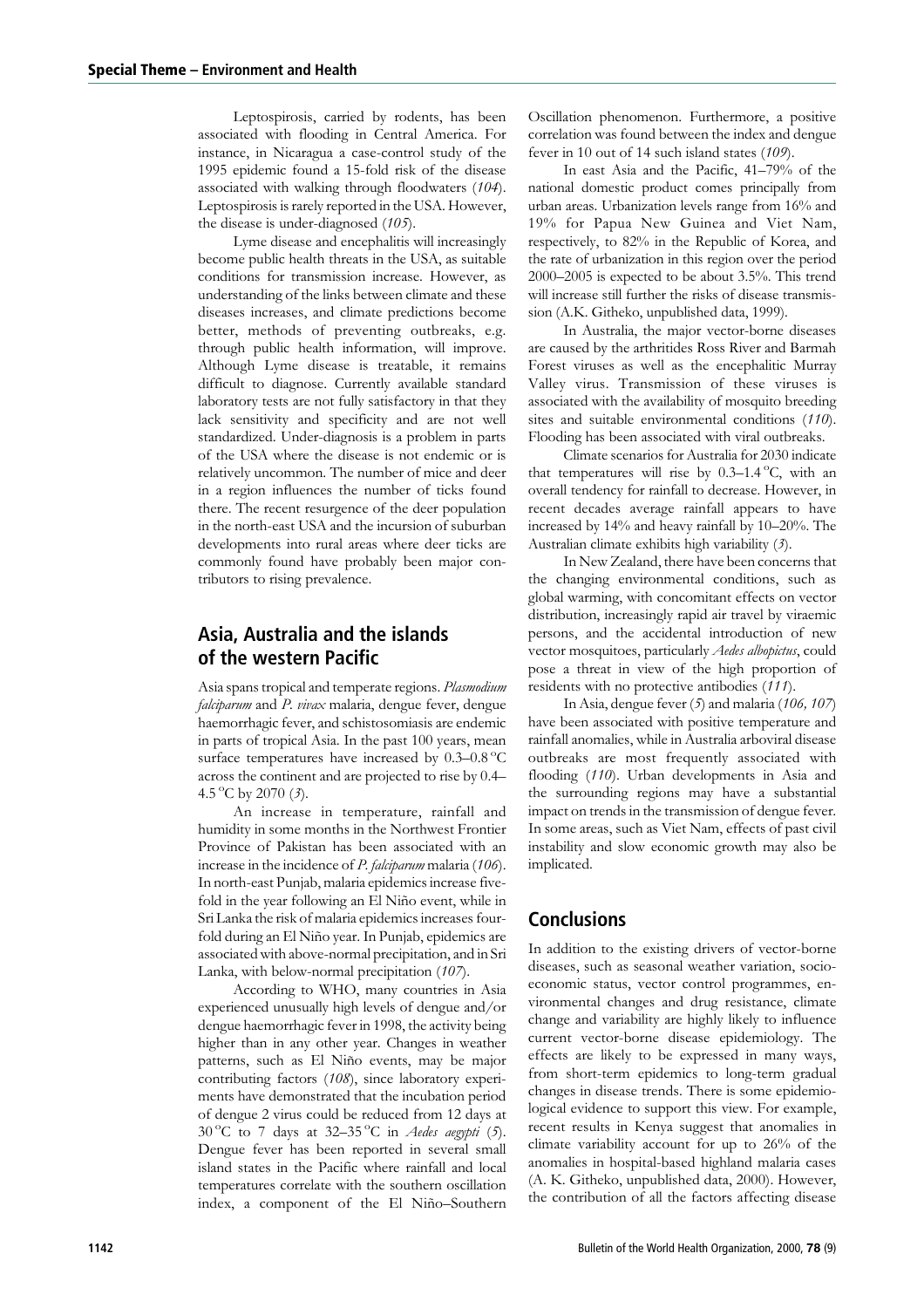Leptospirosis, carried by rodents, has been associated with flooding in Central America. For instance, in Nicaragua a case-control study of the 1995 epidemic found a 15-fold risk of the disease associated with walking through floodwaters (104). Leptospirosis is rarely reported in the USA. However, the disease is under-diagnosed (105).

Lyme disease and encephalitis will increasingly become public health threats in the USA, as suitable conditions for transmission increase. However, as understanding of the links between climate and these diseases increases, and climate predictions become better, methods of preventing outbreaks, e.g. through public health information, will improve. Although Lyme disease is treatable, it remains difficult to diagnose. Currently available standard laboratory tests are not fully satisfactory in that they lack sensitivity and specificity and are not well standardized. Under-diagnosis is a problem in parts of the USA where the disease is not endemic or is relatively uncommon. The number of mice and deer in a region influences the number of ticks found there. The recent resurgence of the deer population in the north-east USA and the incursion of suburban developments into rural areas where deer ticks are commonly found have probably been major contributors to rising prevalence.

# Asia, Australia and the islands of the western Pacific

Asia spans tropical and temperate regions. Plasmodium falciparum and P. vivax malaria, dengue fever, dengue haemorrhagic fever, and schistosomiasis are endemic in parts of tropical Asia. In the past 100 years, mean surface temperatures have increased by 0.3-0.8 °C across the continent and are projected to rise by 0.4– 4.5 °C by 2070  $(3)$ .

An increase in temperature, rainfall and humidity in some months in the Northwest Frontier Province of Pakistan has been associated with an increase in the incidence of P. falciparum malaria (106). In north-east Punjab, malaria epidemics increase fivefold in the year following an El Niño event, while in Sri Lanka the risk of malaria epidemics increases fourfold during an El Niño year. In Punjab, epidemics are associated with above-normal precipitation, and in Sri Lanka, with below-normal precipitation (107).

According to WHO, many countries in Asia experienced unusually high levels of dengue and/or dengue haemorrhagic fever in 1998, the activity being higher than in any other year. Changes in weather patterns, such as El Niño events, may be major contributing factors (108), since laboratory experiments have demonstrated that the incubation period of dengue 2 virus could be reduced from 12 days at 30 °C to 7 days at 32–35 °C in Aedes aegypti (5). Dengue fever has been reported in several small island states in the Pacific where rainfall and local temperatures correlate with the southern oscillation index, a component of the El Niño-Southern

Oscillation phenomenon. Furthermore, a positive correlation was found between the index and dengue fever in 10 out of 14 such island states (109).

In east Asia and the Pacific, 41–79% of the national domestic product comes principally from urban areas. Urbanization levels range from 16% and 19% for Papua New Guinea and Viet Nam, respectively, to 82% in the Republic of Korea, and the rate of urbanization in this region over the period 2000–2005 is expected to be about 3.5%. This trend will increase still further the risks of disease transmission (A.K. Githeko, unpublished data, 1999).

In Australia, the major vector-borne diseases are caused by the arthritides Ross River and Barmah Forest viruses as well as the encephalitic Murray Valley virus. Transmission of these viruses is associated with the availability of mosquito breeding sites and suitable environmental conditions (110). Flooding has been associated with viral outbreaks.

Climate scenarios for Australia for 2030 indicate that temperatures will rise by  $0.3-1.4\text{ °C}$ , with an overall tendency for rainfall to decrease. However, in recent decades average rainfall appears to have increased by 14% and heavy rainfall by 10–20%. The Australian climate exhibits high variability (3).

In New Zealand, there have been concerns that the changing environmental conditions, such as global warming, with concomitant effects on vector distribution, increasingly rapid air travel by viraemic persons, and the accidental introduction of new vector mosquitoes, particularly Aedes albopictus, could pose a threat in view of the high proportion of residents with no protective antibodies (111).

In Asia, dengue fever (5) and malaria (106, 107) have been associated with positive temperature and rainfall anomalies, while in Australia arboviral disease outbreaks are most frequently associated with flooding (110). Urban developments in Asia and the surrounding regions may have a substantial impact on trends in the transmission of dengue fever. In some areas, such as Viet Nam, effects of past civil instability and slow economic growth may also be implicated.

## **Conclusions**

In addition to the existing drivers of vector-borne diseases, such as seasonal weather variation, socioeconomic status, vector control programmes, environmental changes and drug resistance, climate change and variability are highly likely to influence current vector-borne disease epidemiology. The effects are likely to be expressed in many ways, from short-term epidemics to long-term gradual changes in disease trends. There is some epidemiological evidence to support this view. For example, recent results in Kenya suggest that anomalies in climate variability account for up to 26% of the anomalies in hospital-based highland malaria cases (A. K. Githeko, unpublished data, 2000). However, the contribution of all the factors affecting disease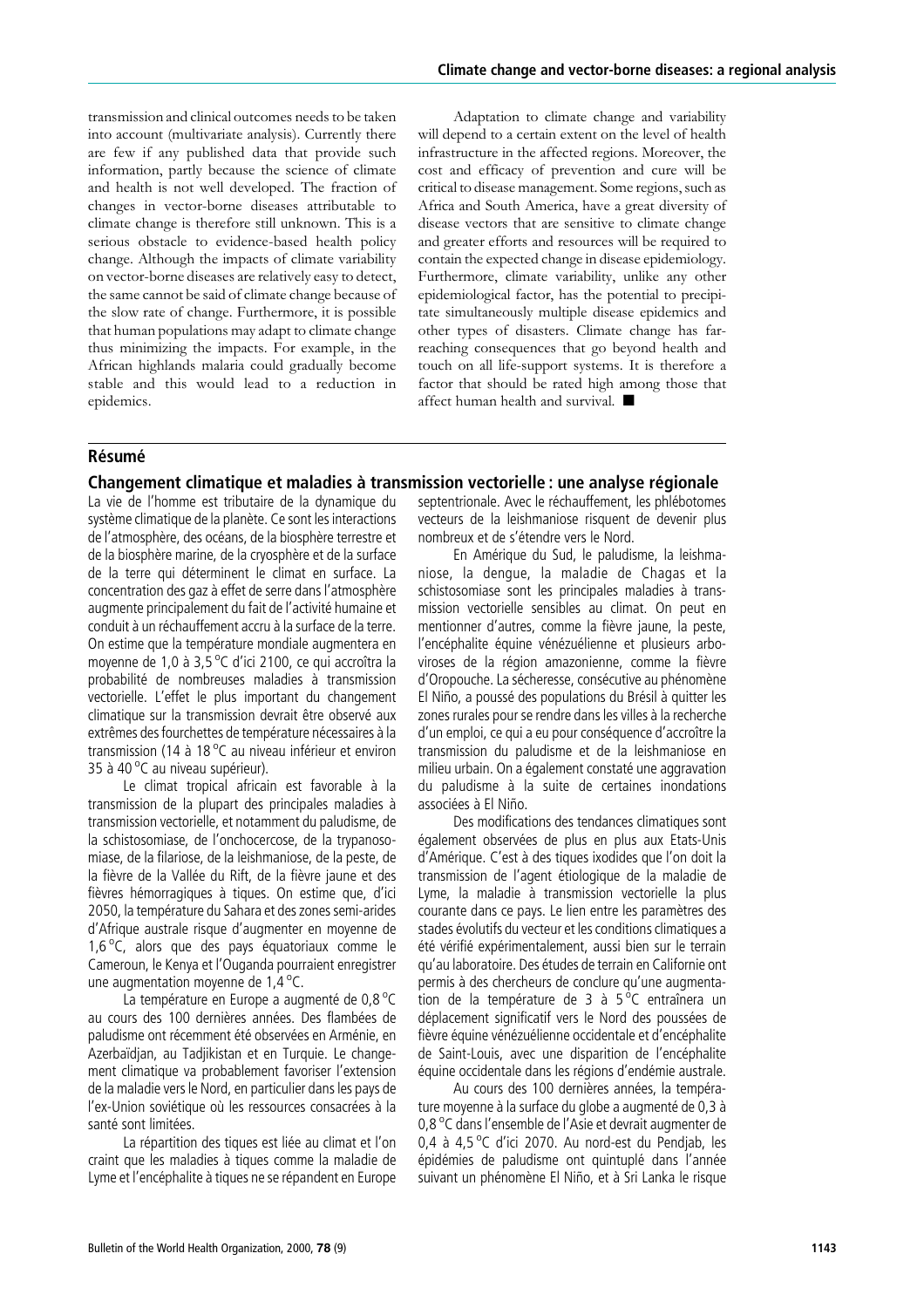transmission and clinical outcomes needs to be taken into account (multivariate analysis). Currently there are few if any published data that provide such information, partly because the science of climate and health is not well developed. The fraction of changes in vector-borne diseases attributable to climate change is therefore still unknown. This is a serious obstacle to evidence-based health policy change. Although the impacts of climate variability on vector-borne diseases are relatively easy to detect, the same cannot be said of climate change because of the slow rate of change. Furthermore, it is possible that human populations may adapt to climate change thus minimizing the impacts. For example, in the African highlands malaria could gradually become stable and this would lead to a reduction in epidemics.

Adaptation to climate change and variability will depend to a certain extent on the level of health infrastructure in the affected regions. Moreover, the cost and efficacy of prevention and cure will be critical to disease management. Some regions, such as Africa and South America, have a great diversity of disease vectors that are sensitive to climate change and greater efforts and resources will be required to contain the expected change in disease epidemiology. Furthermore, climate variability, unlike any other epidemiological factor, has the potential to precipitate simultaneously multiple disease epidemics and other types of disasters. Climate change has farreaching consequences that go beyond health and touch on all life-support systems. It is therefore a factor that should be rated high among those that affect human health and survival.  $\blacksquare$ 

#### **Résumé**

#### Changement climatique et maladies à transmission vectorielle : une analyse régionale

La vie de l'homme est tributaire de la dynamique du système climatique de la planète. Ce sont les interactions de l'atmosphère, des océans, de la biosphère terrestre et de la biosphère marine, de la cryosphère et de la surface de la terre qui déterminent le climat en surface. La concentration des gaz à effet de serre dans l'atmosphère augmente principalement du fait de l'activité humaine et conduit à un réchauffement accru à la surface de la terre. On estime que la température mondiale augmentera en moyenne de 1,0 à 3,5 °C d'ici 2100, ce qui accroîtra la probabilité de nombreuses maladies à transmission vectorielle. L'effet le plus important du changement climatique sur la transmission devrait être observé aux extrêmes des fourchettes de température nécessaires à la transmission (14 à 18 °C au niveau inférieur et environ 35 à 40 °C au niveau supérieur).

Le climat tropical africain est favorable à la transmission de la plupart des principales maladies a` transmission vectorielle, et notamment du paludisme, de la schistosomiase, de l'onchocercose, de la trypanosomiase, de la filariose, de la leishmaniose, de la peste, de la fièvre de la Vallée du Rift, de la fièvre jaune et des fièvres hémorragiques à tiques. On estime que, d'ici 2050, la température du Sahara et des zones semi-arides d'Afrique australe risque d'augmenter en moyenne de 1,6 °C, alors que des pays équatoriaux comme le Cameroun, le Kenya et l'Ouganda pourraient enregistrer une augmentation moyenne de  $1,4$  °C.

La température en Europe a augmenté de 0,8 °C au cours des 100 dernières années. Des flambées de paludisme ont récemment été observées en Arménie, en Azerbaïdjan, au Tadjikistan et en Turquie. Le changement climatique va probablement favoriser l'extension de la maladie vers le Nord, en particulier dans les pays de l'ex-Union soviétique où les ressources consacrées à la santé sont limitées.

La répartition des tiques est liée au climat et l'on craint que les maladies à tiques comme la maladie de Lyme et l'encéphalite à tiques ne se répandent en Europe

septentrionale. Avec le réchauffement, les phlébotomes vecteurs de la leishmaniose risquent de devenir plus nombreux et de s'étendre vers le Nord.

En Amérique du Sud, le paludisme, la leishmaniose, la dengue, la maladie de Chagas et la schistosomiase sont les principales maladies à transmission vectorielle sensibles au climat. On peut en mentionner d'autres, comme la fièvre jaune, la peste, l'encéphalite équine vénézuélienne et plusieurs arboviroses de la région amazonienne, comme la fièvre d'Oropouche. La sécheresse, consécutive au phénomène El Niño, a poussé des populations du Brésil à quitter les zones rurales pour se rendre dans les villes à la recherche d'un emploi, ce qui a eu pour conséquence d'accroître la transmission du paludisme et de la leishmaniose en milieu urbain. On a également constaté une aggravation du paludisme à la suite de certaines inondations associées à El Niño.

Des modifications des tendances climatiques sont également observées de plus en plus aux Etats-Unis d'Amérique. C'est à des tiques ixodides que l'on doit la transmission de l'agent étiologique de la maladie de Lyme, la maladie à transmission vectorielle la plus courante dans ce pays. Le lien entre les paramètres des stades évolutifs du vecteur et les conditions climatiques a été vérifié expérimentalement, aussi bien sur le terrain qu'au laboratoire. Des études de terrain en Californie ont permis à des chercheurs de conclure qu'une augmenta-.<br>tion de la température de 3 à 5 °C entraînera un déplacement significatif vers le Nord des poussées de fièvre équine vénézuélienne occidentale et d'encéphalite de Saint-Louis, avec une disparition de l'encéphalite équine occidentale dans les régions d'endémie australe.

Au cours des 100 dernières années, la température moyenne à la surface du globe a augmenté de 0,3 à 0,8 °C dans l'ensemble de l'Asie et devrait augmenter de 0,4 à 4,5 °C d'ici 2070. Au nord-est du Pendjab, les épidémies de paludisme ont quintuplé dans l'année suivant un phénomène El Niño, et à Sri Lanka le risque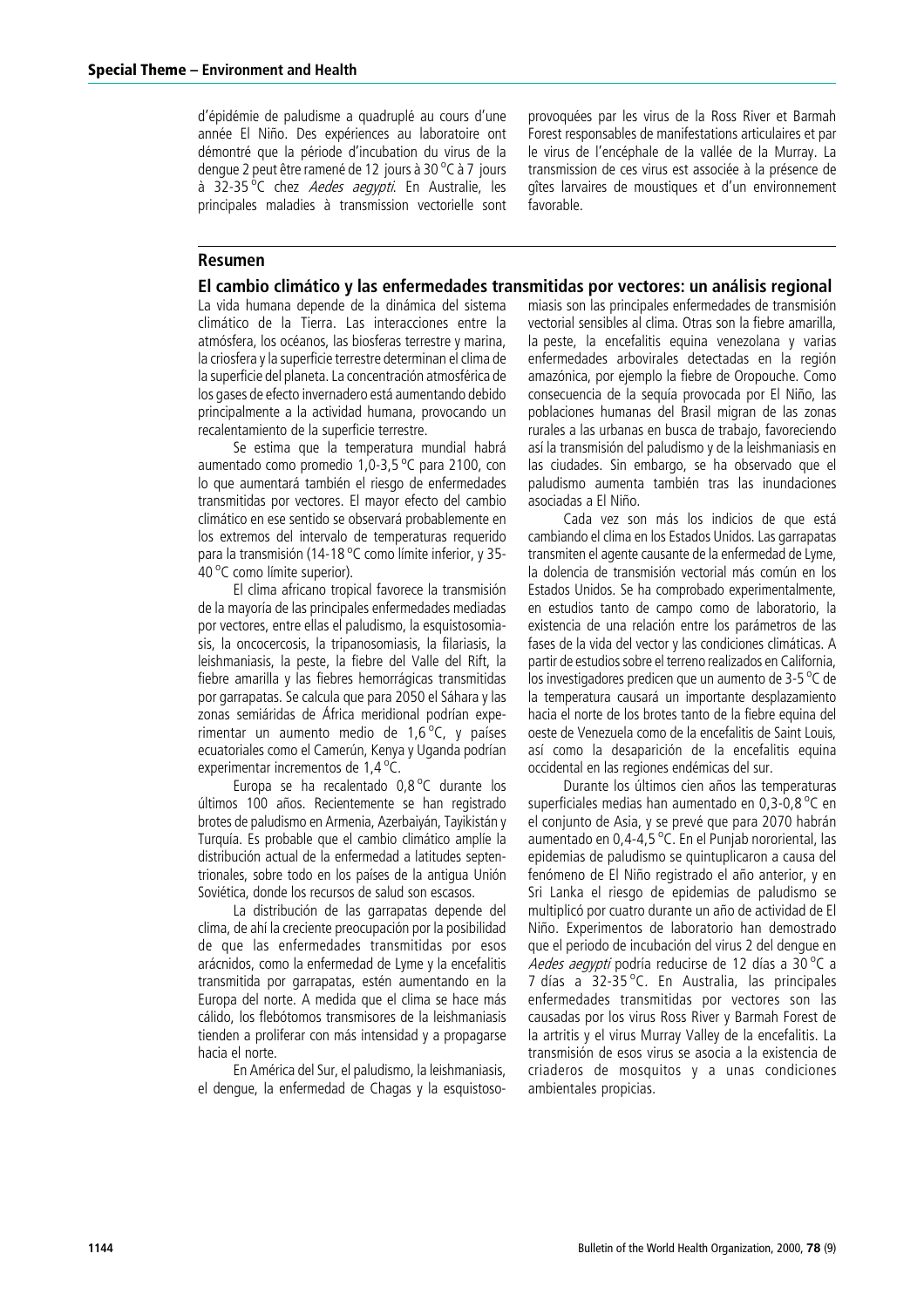d'épidémie de paludisme a quadruplé au cours d'une année El Niño. Des expériences au laboratoire ont démontré que la période d'incubation du virus de la dengue 2 peut être ramené de 12 jours à 30 °C à 7 jours à 32-35 °C chez *Aedes aegypti*. En Australie, les principales maladies à transmission vectorielle sont

provoquées par les virus de la Ross River et Barmah Forest responsables de manifestations articulaires et par le virus de l'encéphale de la vallée de la Murray. La transmission de ces virus est associée à la présence de gîtes larvaires de moustiques et d'un environnement favorable.

#### Resumen

#### El cambio climático y las enfermedades transmitidas por vectores: un análisis regional

La vida humana depende de la dinámica del sistema climático de la Tierra. Las interacciones entre la atmósfera, los océanos, las biosferas terrestre y marina, la criosfera y la superficie terrestre determinan el clima de la superficie del planeta. La concentración atmosférica de los gases de efecto invernadero está aumentando debido principalmente a la actividad humana, provocando un recalentamiento de la superficie terrestre.

Se estima que la temperatura mundial habrá aumentado como promedio 1,0-3,5 °C para 2100, con lo que aumentará también el riesgo de enfermedades transmitidas por vectores. El mayor efecto del cambio climático en ese sentido se observará probablemente en los extremos del intervalo de temperaturas requerido para la transmisión (14-18 °C como límite inferior, y 35-.<br>40 °C como límite superior).

El clima africano tropical favorece la transmisión de la mayoría de las principales enfermedades mediadas por vectores, entre ellas el paludismo, la esquistosomiasis, la oncocercosis, la tripanosomiasis, la filariasis, la leishmaniasis, la peste, la fiebre del Valle del Rift, la fiebre amarilla y las fiebres hemorrágicas transmitidas por garrapatas. Se calcula que para 2050 el Sáhara y las zonas semiáridas de África meridional podrían experimentar un aumento medio de 1,6<sup>'o</sup>C, y países ecuatoriales como el Camerún, Kenya y Uganda podrían experimentar incrementos de 1,4  $^{\circ}$ C.

Europa se ha recalentado 0,8 °C durante los últimos 100 años. Recientemente se han registrado brotes de paludismo en Armenia, Azerbaiyán, Tayikistán y Turquía. Es probable que el cambio climático amplíe la distribución actual de la enfermedad a latitudes septentrionales, sobre todo en los países de la antigua Unión Soviética, donde los recursos de salud son escasos.

La distribución de las garrapatas depende del clima, de ahí la creciente preocupación por la posibilidad de que las enfermedades transmitidas por esos ará cnidos, como la enfermedad de Lyme y la encefalitis transmitida por garrapatas, estén aumentando en la Europa del norte. A medida que el clima se hace más cálido, los flebótomos transmisores de la leishmaniasis tienden a proliferar con más intensidad y a propagarse hacia el norte.

En América del Sur, el paludismo, la leishmaniasis, el dengue, la enfermedad de Chagas y la esquistosomiasis son las principales enfermedades de transmisión vectorial sensibles al clima. Otras son la fiebre amarilla, la peste, la encefalitis equina venezolana y varias enfermedades arbovirales detectadas en la región amazónica, por ejemplo la fiebre de Oropouche. Como consecuencia de la sequía provocada por El Niño, las poblaciones humanas del Brasil migran de las zonas rurales a las urbanas en busca de trabajo, favoreciendo así la transmisión del paludismo y de la leishmaniasis en las ciudades. Sin embargo, se ha observado que el paludismo aumenta también tras las inundaciones asociadas a El Niño.

Cada vez son más los indicios de que está cambiando el clima en los Estados Unidos. Las garrapatas transmiten el agente causante de la enfermedad de Lyme, la dolencia de transmisión vectorial más común en los Estados Unidos. Se ha comprobado experimentalmente, en estudios tanto de campo como de laboratorio, la existencia de una relación entre los parámetros de las fases de la vida del vector y las condiciones climáticas. A partir de estudios sobre el terreno realizados en California, .<br>los investigadores predicen que un aumento de 3-5 °C de la temperatura causará un importante desplazamiento hacia el norte de los brotes tanto de la fiebre equina del oeste de Venezuela como de la encefalitis de Saint Louis, así como la desaparición de la encefalitis equina occidental en las regiones endémicas del sur.

Durante los últimos cien años las temperaturas superficiales medias han aumentado en 0,3-0,8 °C en el conjunto de Asia, y se prevé que para 2070 habrán aumentado en 0,4-4,5 °C. En el Punjab nororiental, las epidemias de paludismo se quintuplicaron a causa del fenómeno de El Niño registrado el año anterior, y en Sri Lanka el riesgo de epidemias de paludismo se multiplicó por cuatro durante un año de actividad de El Niño. Experimentos de laboratorio han demostrado que el periodo de incubación del virus 2 del dengue en Aedes aegypti podría reducirse de 12 días a 30 °C a 7 días a 32-35 °C. En Australia, las principales enfermedades transmitidas por vectores son las causadas por los virus Ross River y Barmah Forest de la artritis y el virus Murray Valley de la encefalitis. La transmisio´ n de esos virus se asocia a la existencia de criaderos de mosquitos y a unas condiciones ambientales propicias.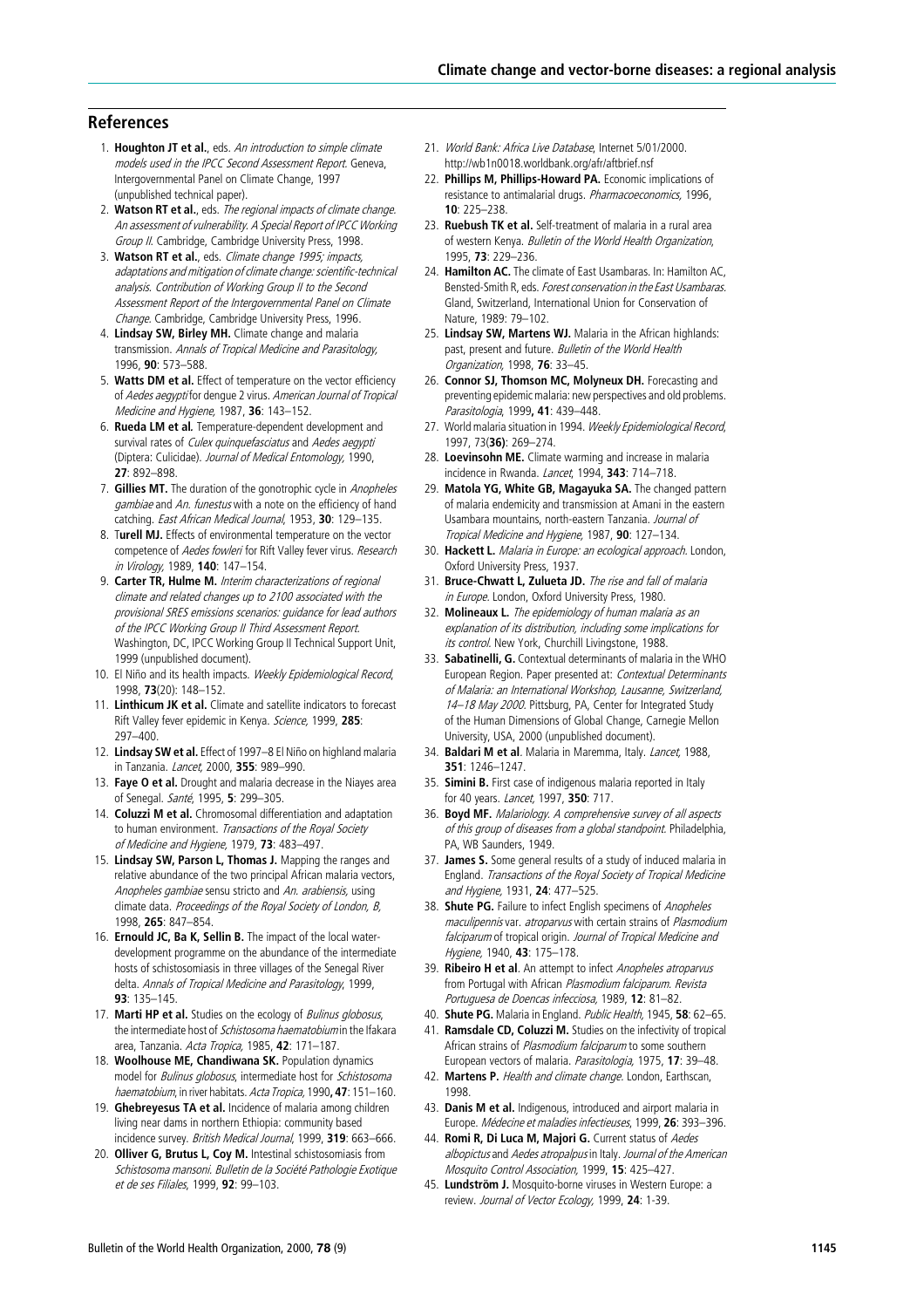#### References

- 1. Houghton JT et al., eds. An introduction to simple climate models used in the IPCC Second Assessment Report. Geneva, Intergovernmental Panel on Climate Change, 1997 (unpublished technical paper).
- 2. Watson RT et al., eds. The regional impacts of climate change. An assessment of vulnerability. A Special Report of IPCC Working Group II. Cambridge, Cambridge University Press, 1998.
- 3. Watson RT et al., eds. Climate change 1995; impacts, adaptations and mitigation of climate change: scientific-technical analysis. Contribution of Working Group II to the Second Assessment Report of the Intergovernmental Panel on Climate Change. Cambridge, Cambridge University Press, 1996.
- 4. Lindsay SW, Birley MH. Climate change and malaria transmission. Annals of Tropical Medicine and Parasitology, 1996, 90: 573–588.
- 5. Watts DM et al. Effect of temperature on the vector efficiency of Aedes aegyptifor dengue 2 virus. American Journal of Tropical Medicine and Hygiene, 1987, 36: 143-152.
- 6. Rueda LM et al. Temperature-dependent development and survival rates of Culex quinquefasciatus and Aedes aegypti (Diptera: Culicidae). Journal of Medical Entomology, 1990, 27: 892–898.
- 7. Gillies MT. The duration of the gonotrophic cycle in Anopheles gambiae and An. funestus with a note on the efficiency of hand catching. East African Medical Journal, 1953, 30: 129–135.
- 8. Turell MJ. Effects of environmental temperature on the vector competence of Aedes fowleri for Rift Valley fever virus. Research in Virology, 1989, 140: 147–154.
- 9. Carter TR, Hulme M. Interim characterizations of regional climate and related changes up to 2100 associated with the provisional SRES emissions scenarios: guidance for lead authors of the IPCC Working Group II Third Assessment Report. Washington, DC, IPCC Working Group II Technical Support Unit, 1999 (unpublished document).
- 10. El Niño and its health impacts. Weekly Epidemiological Record, 1998, 73(20): 148–152.
- 11. Linthicum JK et al. Climate and satellite indicators to forecast Rift Valley fever epidemic in Kenya. Science, 1999, 285: 297–400.
- 12. Lindsay SW et al. Effect of 1997-8 El Niño on highland malaria in Tanzania. Lancet, 2000, 355: 989-990.
- 13. Faye O et al. Drought and malaria decrease in the Niayes area of Senegal. Santé, 1995, 5: 299-305.
- 14. Coluzzi M et al. Chromosomal differentiation and adaptation to human environment. Transactions of the Royal Society of Medicine and Hygiene, 1979, 73: 483-497.
- 15. Lindsay SW, Parson L, Thomas J. Mapping the ranges and relative abundance of the two principal African malaria vectors, Anopheles gambiae sensu stricto and An. arabiensis, using climate data. Proceedings of the Royal Society of London, B, 1998, 265: 847–854.
- 16. Ernould JC, Ba K, Sellin B. The impact of the local waterdevelopment programme on the abundance of the intermediate hosts of schistosomiasis in three villages of the Senegal River delta. Annals of Tropical Medicine and Parasitology, 1999, 93: 135–145.
- 17. Marti HP et al. Studies on the ecology of Bulinus globosus, the intermediate host of Schistosoma haematobiumin the Ifakara area, Tanzania. Acta Tropica, 1985, 42: 171-187.
- 18. Woolhouse ME, Chandiwana SK. Population dynamics model for Bulinus globosus, intermediate host for Schistosoma haematobium, in river habitats. Acta Tropica, 1990, 47: 151-160.
- 19. Ghebreyesus TA et al. Incidence of malaria among children living near dams in northern Ethiopia: community based incidence survey. British Medical Journal, 1999, 319: 663-666.
- 20. Olliver G, Brutus L, Coy M. Intestinal schistosomiasis from Schistosoma mansoni. Bulletin de la Société Pathologie Exotique et de ses Filiales, 1999, 92: 99–103.
- 21. World Bank: Africa Live Database, Internet 5/01/2000. http://wb1n0018.worldbank.org/afr/aftbrief.nsf
- 22. Phillips M, Phillips-Howard PA. Economic implications of resistance to antimalarial drugs. Pharmacoeconomics, 1996, 10: 225–238.
- 23. Ruebush TK et al. Self-treatment of malaria in a rural area of western Kenya. Bulletin of the World Health Organization, 1995, 73: 229–236.
- 24. Hamilton AC. The climate of East Usambaras. In: Hamilton AC, Bensted-Smith R, eds. Forest conservation in the East Usambaras. Gland, Switzerland, International Union for Conservation of Nature, 1989: 79–102.
- 25. Lindsay SW, Martens WJ. Malaria in the African highlands: past, present and future. Bulletin of the World Health Organization, 1998, 76: 33–45.
- 26. Connor SJ, Thomson MC, Molyneux DH. Forecasting and preventing epidemic malaria: new perspectives and old problems. Parasitologia, 1999, **41**: 439-448.
- 27. World malaria situation in 1994. Weekly Epidemiological Record, 1997, 73(36): 269–274.
- 28. Loevinsohn ME. Climate warming and increase in malaria incidence in Rwanda. Lancet, 1994, 343: 714-718.
- 29. Matola YG, White GB, Magayuka SA. The changed pattern of malaria endemicity and transmission at Amani in the eastern Usambara mountains, north-eastern Tanzania. Journal of Tropical Medicine and Hygiene, 1987, 90: 127-134.
- 30. Hackett L. Malaria in Europe: an ecological approach. London, Oxford University Press, 1937.
- 31. Bruce-Chwatt L, Zulueta JD. The rise and fall of malaria in Europe. London, Oxford University Press, 1980.
- 32. Molineaux L. The epidemiology of human malaria as an explanation of its distribution, including some implications for its control. New York, Churchill Livingstone, 1988.
- 33. Sabatinelli, G. Contextual determinants of malaria in the WHO European Region. Paper presented at: Contextual Determinants of Malaria: an International Workshop, Lausanne, Switzerland, 14-18 May 2000. Pittsburg, PA, Center for Integrated Study of the Human Dimensions of Global Change, Carnegie Mellon University, USA, 2000 (unpublished document).
- 34. Baldari M et al. Malaria in Maremma, Italy. Lancet, 1988, 351: 1246–1247.
- 35. Simini B. First case of indigenous malaria reported in Italy for 40 years. Lancet, 1997, 350: 717.
- 36. Boyd MF. Malariology. A comprehensive survey of all aspects of this group of diseases from <sup>a</sup> global standpoint. Philadelphia, PA, WB Saunders, 1949.
- 37. James S. Some general results of a study of induced malaria in England. Transactions of the Royal Society of Tropical Medicine and Hygiene, 1931, 24: 477–525.
- 38. Shute PG. Failure to infect English specimens of Anopheles maculipennis var. atroparvus with certain strains of Plasmodium falciparum of tropical origin. Journal of Tropical Medicine and Hygiene, 1940, 43: 175-178.
- 39. Ribeiro H et al. An attempt to infect Anopheles atroparvus from Portugal with African Plasmodium falciparum. Revista Portuguesa de Doencas infecciosa, 1989, 12: 81–82.
- 40. Shute PG. Malaria in England. Public Health, 1945, 58: 62-65.
- 41. **Ramsdale CD, Coluzzi M.** Studies on the infectivity of tropical African strains of Plasmodium falciparum to some southern European vectors of malaria. Parasitologia, 1975, 17: 39-48.
- 42. Martens P. Health and climate change. London, Earthscan, 1998.
- 43. Danis M et al. Indigenous, introduced and airport malaria in Europe. Médecine et maladies infectieuses, 1999, 26: 393-396.
- 44. **Romi R, Di Luca M, Majori G.** Current status of Aedes albopictus and Aedes atropalpus in Italy. Journal of the American Mosquito Control Association, 1999, 15: 425–427.
- 45. Lundström J. Mosquito-borne viruses in Western Europe: a review. Journal of Vector Ecology, 1999, 24: 1-39.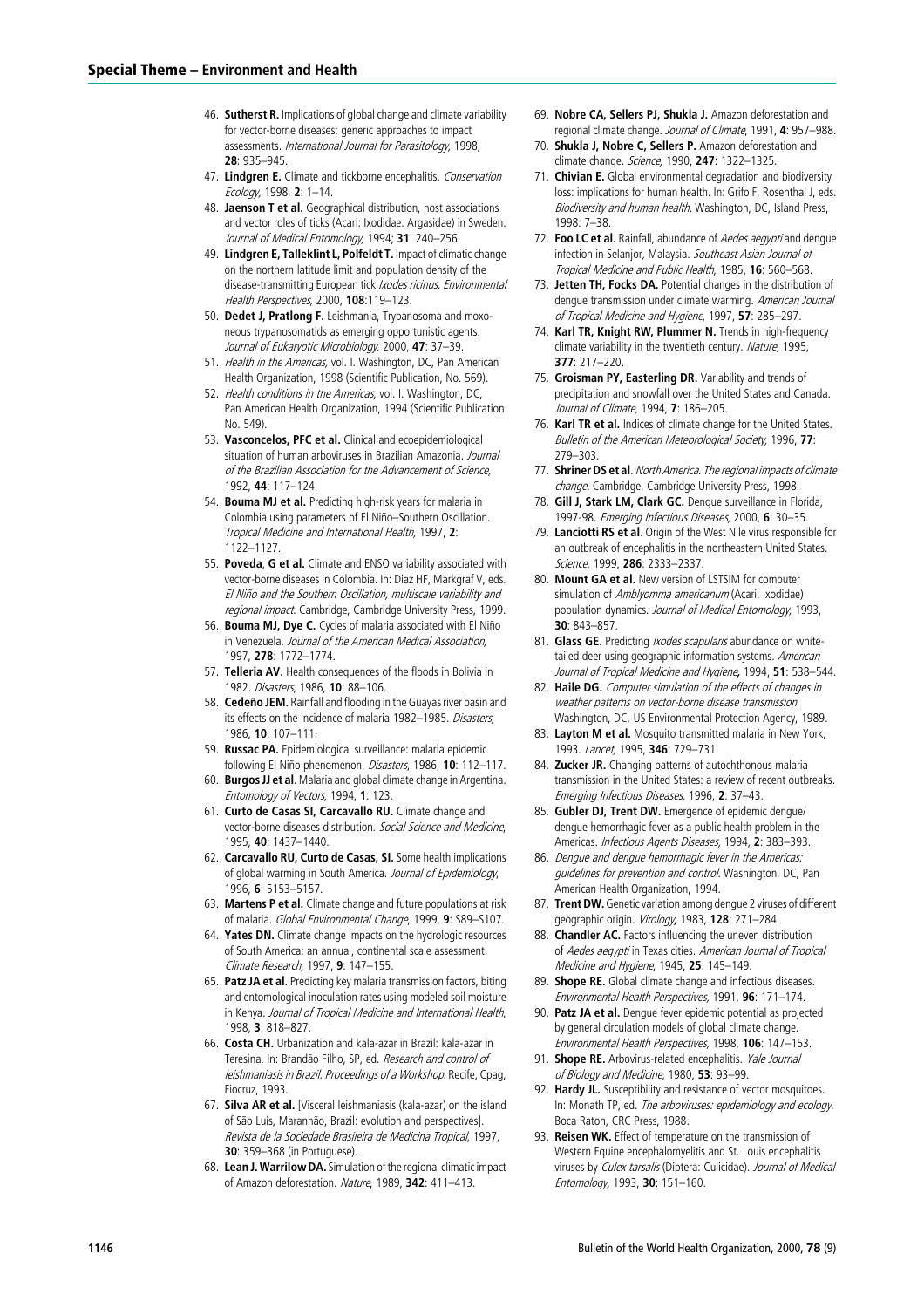- 46. **Sutherst R.** Implications of global change and climate variability for vector-borne diseases: generic approaches to impact assessments. International Journal for Parasitology, 1998, 28: 935–945.
- 47. Lindgren E. Climate and tickborne encephalitis. Conservation Ecology, 1998, 2: 1–14.
- 48. Jaenson T et al. Geographical distribution, host associations and vector roles of ticks (Acari: Ixodidae. Argasidae) in Sweden. Journal of Medical Entomology, 1994; 31: 240-256.
- 49. Lindgren E, Talleklint L, Polfeldt T. Impact of climatic change on the northern latitude limit and population density of the disease-transmitting European tick Ixodes ricinus. Environmental Health Perspectives, 2000, 108:119-123.
- 50. Dedet J, Pratlong F. Leishmania, Trypanosoma and moxoneous trypanosomatids as emerging opportunistic agents. Journal of Eukaryotic Microbiology, 2000, 47: 37-39.
- 51. Health in the Americas, vol. I. Washington, DC, Pan American Health Organization, 1998 (Scientific Publication, No. 569).
- 52. Health conditions in the Americas, vol. I. Washington, DC, Pan American Health Organization, 1994 (Scientific Publication No. 549).
- 53. Vasconcelos, PFC et al. Clinical and ecoepidemiological situation of human arboviruses in Brazilian Amazonia. Journal of the Brazilian Association for the Advancement of Science, 1992, 44: 117–124.
- 54. **Bouma MJ et al.** Predicting high-risk years for malaria in Colombia using parameters of El Niño-Southern Oscillation. Tropical Medicine and International Health, 1997, 2: 1122–1127.
- 55. Poveda, G et al. Climate and ENSO variability associated with vector-borne diseases in Colombia. In: Diaz HF, Markgraf V, eds. El Nin˜ <sup>o</sup> and the Southern Oscillation, multiscale variability and regional impact. Cambridge, Cambridge University Press, 1999.
- 56. Bouma MJ, Dye C. Cycles of malaria associated with El Niño in Venezuela. Journal of the American Medical Association, 1997, 278: 1772–1774.
- 57. Telleria AV. Health consequences of the floods in Bolivia in 1982. Disasters, 1986, 10: 88-106.
- 58. Cedeño JEM. Rainfall and flooding in the Guayas river basin and its effects on the incidence of malaria 1982-1985. Disasters, 1986, 10: 107–111.
- 59. Russac PA. Epidemiological surveillance: malaria epidemic following El Niño phenomenon. Disasters, 1986, 10: 112-117.
- 60. Burgos JJ et al. Malaria and global climate change in Argentina. Entomology of Vectors, 1994, 1: 123.
- 61. Curto de Casas SI, Carcavallo RU. Climate change and vector-borne diseases distribution. Social Science and Medicine, 1995, 40: 1437–1440.
- 62. Carcavallo RU, Curto de Casas, SI. Some health implications of global warming in South America. Journal of Epidemiology, 1996, 6: 5153–5157.
- 63. Martens P et al. Climate change and future populations at risk of malaria. Global Environmental Change, 1999, 9: S89-S107.
- 64. Yates DN. Climate change impacts on the hydrologic resources of South America: an annual, continental scale assessment. Climate Research, 1997, 9: 147–155.
- 65. Patz JA et al. Predicting key malaria transmission factors, biting and entomological inoculation rates using modeled soil moisture in Kenya. Journal of Tropical Medicine and International Health, 1998, 3: 818–827.
- 66. Costa CH. Urbanization and kala-azar in Brazil: kala-azar in Teresina. In: Brandão Filho, SP, ed. Research and control of leishmaniasis in Brazil. Proceedings of <sup>a</sup> Workshop. Recife, Cpag, Fiocruz, 1993.
- 67. Silva AR et al. [Visceral leishmaniasis (kala-azar) on the island of São Luís, Maranhão, Brazil: evolution and perspectives]. Revista de la Sociedade Brasileira de Medicina Tropical, 1997, 30: 359–368 (in Portuguese).
- 68. Lean J. Warrilow DA. Simulation of the regional climatic impact of Amazon deforestation. Nature, 1989, 342: 411-413.
- 69. Nobre CA, Sellers PJ, Shukla J. Amazon deforestation and regional climate change. Journal of Climate, 1991, 4: 957-988.
- 70. Shukla J, Nobre C, Sellers P. Amazon deforestation and climate change. Science, 1990, 247: 1322-1325.
- 71. Chivian E. Global environmental degradation and biodiversity loss: implications for human health. In: Grifo F, Rosenthal J, eds. Biodiversity and human health. Washington, DC, Island Press, 1998: 7–38.
- 72. Foo LC et al. Rainfall, abundance of Aedes aegypti and dengue infection in Selanjor, Malaysia. Southeast Asian Journal of Tropical Medicine and Public Health, 1985, 16: 560–568.
- 73. Jetten TH, Focks DA. Potential changes in the distribution of dengue transmission under climate warming. American Journal of Tropical Medicine and Hygiene, 1997, 57: 285–297.
- 74. Karl TR, Knight RW, Plummer N. Trends in high-frequency climate variability in the twentieth century. Nature, 1995, 377: 217–220.
- 75. Groisman PY, Easterling DR. Variability and trends of precipitation and snowfall over the United States and Canada. Journal of Climate, 1994, 7: 186-205.
- 76. Karl TR et al. Indices of climate change for the United States. Bulletin of the American Meteorological Society, 1996, 77: 279–303.
- 77. Shriner DS et al. North America. The regional impacts of climate change. Cambridge, Cambridge University Press, 1998.
- 78. Gill J, Stark LM, Clark GC. Dengue surveillance in Florida, 1997-98. Emerging Infectious Diseases, 2000, 6: 30-35.
- 79. Lanciotti RS et al. Origin of the West Nile virus responsible for an outbreak of encephalitis in the northeastern United States. Science, 1999, 286: 2333–2337.
- 80. Mount GA et al. New version of LSTSIM for computer simulation of Amblyomma americanum (Acari: Ixodidae) population dynamics. Journal of Medical Entomology, 1993, 30: 843–857.
- 81. Glass GE. Predicting Ixodes scapularis abundance on whitetailed deer using geographic information systems. American Journal of Tropical Medicine and Hygiene, 1994, 51: 538-544.
- 82. Haile DG. Computer simulation of the effects of changes in weather patterns on vector-borne disease transmission. Washington, DC, US Environmental Protection Agency, 1989.
- 83. Layton M et al. Mosquito transmitted malaria in New York. 1993. Lancet, 1995, 346: 729-731.
- 84. Zucker JR. Changing patterns of autochthonous malaria transmission in the United States: a review of recent outbreaks. Emerging Infectious Diseases, 1996, 2: 37–43.
- 85. Gubler DJ, Trent DW. Emergence of epidemic dengue/ dengue hemorrhagic fever as a public health problem in the Americas. Infectious Agents Diseases, 1994, 2: 383–393.
- 86. Dengue and dengue hemorrhagic fever in the Americas: guidelines for prevention and control. Washington, DC, Pan American Health Organization, 1994.
- 87. Trent DW. Genetic variation among dengue 2 viruses of different geographic origin. Virology, 1983, 128: 271-284.
- 88. **Chandler AC.** Factors influencing the uneven distribution of Aedes aegypti in Texas cities. American Journal of Tropical Medicine and Hygiene, 1945, 25: 145-149.
- 89. **Shope RE.** Global climate change and infectious diseases. Environmental Health Perspectives, 1991, 96: 171–174.
- 90. Patz JA et al. Dengue fever epidemic potential as projected by general circulation models of global climate change. Environmental Health Perspectives, 1998, 106: 147–153.
- 91. Shope RE. Arbovirus-related encephalitis. Yale Journal of Biology and Medicine, 1980, 53: 93–99.
- 92. Hardy JL. Susceptibility and resistance of vector mosquitoes. In: Monath TP, ed. The arboviruses: epidemiology and ecology. Boca Raton, CRC Press, 1988.
- 93. Reisen WK. Effect of temperature on the transmission of Western Equine encephalomyelitis and St. Louis encephalitis viruses by Culex tarsalis (Diptera: Culicidae). Journal of Medical Entomology, 1993, 30: 151–160.